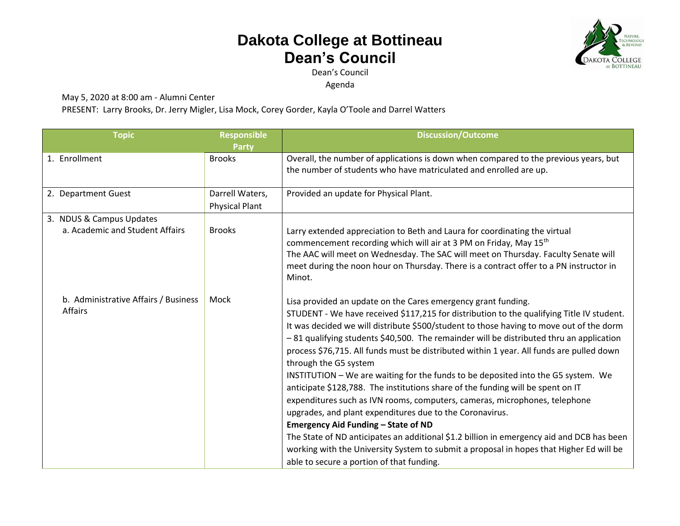## **Dakota College at Bottineau Dean's Council**



Dean's Council

Agenda

May 5, 2020 at 8:00 am - Alumni Center

PRESENT: Larry Brooks, Dr. Jerry Migler, Lisa Mock, Corey Gorder, Kayla O'Toole and Darrel Watters

| <b>Topic</b>                                                | <b>Responsible</b><br><b>Party</b>       | <b>Discussion/Outcome</b>                                                                                                                                                                                                                                                                                                                                                                                                                                                                                                                                                                                                                                                                                                                                                                                                                                                                                                                                                                                                                                                  |
|-------------------------------------------------------------|------------------------------------------|----------------------------------------------------------------------------------------------------------------------------------------------------------------------------------------------------------------------------------------------------------------------------------------------------------------------------------------------------------------------------------------------------------------------------------------------------------------------------------------------------------------------------------------------------------------------------------------------------------------------------------------------------------------------------------------------------------------------------------------------------------------------------------------------------------------------------------------------------------------------------------------------------------------------------------------------------------------------------------------------------------------------------------------------------------------------------|
| 1. Enrollment                                               | <b>Brooks</b>                            | Overall, the number of applications is down when compared to the previous years, but<br>the number of students who have matriculated and enrolled are up.                                                                                                                                                                                                                                                                                                                                                                                                                                                                                                                                                                                                                                                                                                                                                                                                                                                                                                                  |
| 2. Department Guest                                         | Darrell Waters,<br><b>Physical Plant</b> | Provided an update for Physical Plant.                                                                                                                                                                                                                                                                                                                                                                                                                                                                                                                                                                                                                                                                                                                                                                                                                                                                                                                                                                                                                                     |
| 3. NDUS & Campus Updates<br>a. Academic and Student Affairs | <b>Brooks</b>                            | Larry extended appreciation to Beth and Laura for coordinating the virtual<br>commencement recording which will air at 3 PM on Friday, May 15th<br>The AAC will meet on Wednesday. The SAC will meet on Thursday. Faculty Senate will<br>meet during the noon hour on Thursday. There is a contract offer to a PN instructor in<br>Minot.                                                                                                                                                                                                                                                                                                                                                                                                                                                                                                                                                                                                                                                                                                                                  |
| b. Administrative Affairs / Business<br>Affairs             | Mock                                     | Lisa provided an update on the Cares emergency grant funding.<br>STUDENT - We have received \$117,215 for distribution to the qualifying Title IV student.<br>It was decided we will distribute \$500/student to those having to move out of the dorm<br>-81 qualifying students \$40,500. The remainder will be distributed thru an application<br>process \$76,715. All funds must be distributed within 1 year. All funds are pulled down<br>through the G5 system<br>INSTITUTION - We are waiting for the funds to be deposited into the G5 system. We<br>anticipate \$128,788. The institutions share of the funding will be spent on IT<br>expenditures such as IVN rooms, computers, cameras, microphones, telephone<br>upgrades, and plant expenditures due to the Coronavirus.<br><b>Emergency Aid Funding - State of ND</b><br>The State of ND anticipates an additional \$1.2 billion in emergency aid and DCB has been<br>working with the University System to submit a proposal in hopes that Higher Ed will be<br>able to secure a portion of that funding. |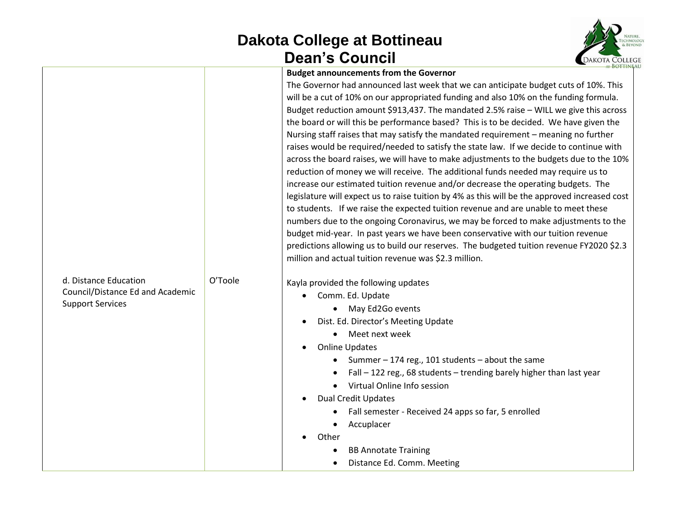## **Dakota College at Bottineau Dean's Council**



| <b>Budget announcements from the Governor</b> |  |  |  |
|-----------------------------------------------|--|--|--|
|-----------------------------------------------|--|--|--|

|                                  |         | <b>Budget announcements from the Governor</b>                                                 |
|----------------------------------|---------|-----------------------------------------------------------------------------------------------|
|                                  |         | The Governor had announced last week that we can anticipate budget cuts of 10%. This          |
|                                  |         | will be a cut of 10% on our appropriated funding and also 10% on the funding formula.         |
|                                  |         | Budget reduction amount \$913,437. The mandated 2.5% raise - WILL we give this across         |
|                                  |         | the board or will this be performance based? This is to be decided. We have given the         |
|                                  |         | Nursing staff raises that may satisfy the mandated requirement - meaning no further           |
|                                  |         | raises would be required/needed to satisfy the state law. If we decide to continue with       |
|                                  |         | across the board raises, we will have to make adjustments to the budgets due to the 10%       |
|                                  |         | reduction of money we will receive. The additional funds needed may require us to             |
|                                  |         | increase our estimated tuition revenue and/or decrease the operating budgets. The             |
|                                  |         | legislature will expect us to raise tuition by 4% as this will be the approved increased cost |
|                                  |         | to students. If we raise the expected tuition revenue and are unable to meet these            |
|                                  |         | numbers due to the ongoing Coronavirus, we may be forced to make adjustments to the           |
|                                  |         | budget mid-year. In past years we have been conservative with our tuition revenue             |
|                                  |         | predictions allowing us to build our reserves. The budgeted tuition revenue FY2020 \$2.3      |
|                                  |         | million and actual tuition revenue was \$2.3 million.                                         |
| d. Distance Education            | O'Toole | Kayla provided the following updates                                                          |
| Council/Distance Ed and Academic |         | Comm. Ed. Update<br>$\bullet$                                                                 |
| <b>Support Services</b>          |         | May Ed2Go events<br>$\bullet$                                                                 |
|                                  |         | Dist. Ed. Director's Meeting Update                                                           |
|                                  |         | • Meet next week                                                                              |
|                                  |         | <b>Online Updates</b>                                                                         |
|                                  |         | Summer - 174 reg., 101 students - about the same<br>$\bullet$                                 |
|                                  |         | Fall - 122 reg., 68 students - trending barely higher than last year<br>$\bullet$             |
|                                  |         | Virtual Online Info session                                                                   |
|                                  |         | <b>Dual Credit Updates</b>                                                                    |
|                                  |         | Fall semester - Received 24 apps so far, 5 enrolled                                           |
|                                  |         | Accuplacer<br>$\bullet$                                                                       |
|                                  |         | Other                                                                                         |
|                                  |         | <b>BB Annotate Training</b>                                                                   |
|                                  |         | Distance Ed. Comm. Meeting<br>$\bullet$                                                       |